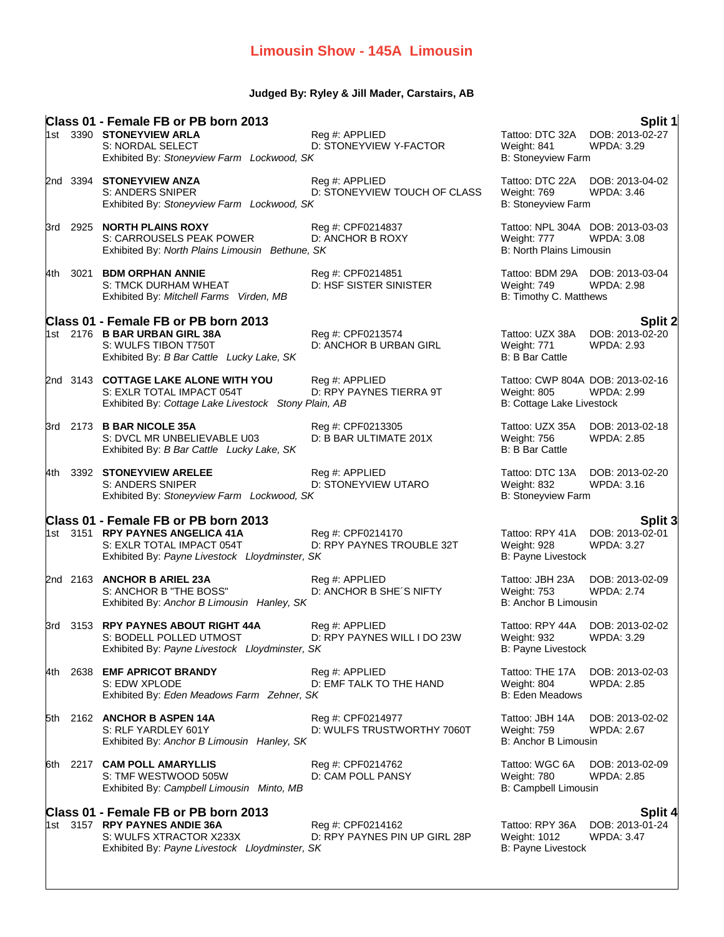## **Judged By: Ryley & Jill Mader, Carstairs, AB**

|       |          | Class 01 - Female FB or PB born 2013<br>1st 3390 STONEYVIEW ARLA<br>S: NORDAL SELECT<br>Exhibited By: Stoneyview Farm Lockwood, SK         | Reg #: APPLIED<br>D: STONEYVIEW Y-FACTOR           | Tattoo: DTC 32A<br>Weight: 841<br>B: Stoneyview Farm                               | Split 1<br>DOB: 2013-02-27<br>WPDA: 3.29               |
|-------|----------|--------------------------------------------------------------------------------------------------------------------------------------------|----------------------------------------------------|------------------------------------------------------------------------------------|--------------------------------------------------------|
|       | 2nd 3394 | <b>STONEYVIEW ANZA</b><br>S: ANDERS SNIPER<br>Exhibited By: Stoneyview Farm Lockwood, SK                                                   | Reg #: APPLIED<br>D: STONEYVIEW TOUCH OF CLASS     | Tattoo: DTC 22A<br>Weight: 769<br>B: Stoneyview Farm                               | DOB: 2013-04-02<br>WPDA: 3.46                          |
|       |          | 3rd 2925 NORTH PLAINS ROXY<br>S: CARROUSELS PEAK POWER<br>Exhibited By: North Plains Limousin Bethune, SK                                  | Reg #: CPF0214837<br>D: ANCHOR B ROXY              | Tattoo: NPL 304A DOB: 2013-03-03<br>Weight: 777<br><b>B: North Plains Limousin</b> | WPDA: 3.08                                             |
| 4th - |          | 3021 BDM ORPHAN ANNIE<br>S: TMCK DURHAM WHEAT<br>Exhibited By: Mitchell Farms Virden, MB                                                   | Reg #: CPF0214851<br>D: HSF SISTER SINISTER        | Tattoo: BDM 29A DOB: 2013-03-04<br>Weight: 749<br>B: Timothy C. Matthews           | <b>WPDA: 2.98</b>                                      |
|       |          |                                                                                                                                            |                                                    |                                                                                    |                                                        |
|       |          | Class 01 - Female FB or PB born 2013<br>1st 2176 B BAR URBAN GIRL 38A<br>S: WULFS TIBON T750T<br>Exhibited By: B Bar Cattle Lucky Lake, SK | Reg #: CPF0213574<br>D: ANCHOR B URBAN GIRL        | Tattoo: UZX 38A<br>Weight: 771<br><b>B: B Bar Cattle</b>                           | Split 2<br>DOB: 2013-02-20<br>WPDA: 2.93               |
|       |          | 2nd 3143 COTTAGE LAKE ALONE WITH YOU<br>S: EXLR TOTAL IMPACT 054T<br>Exhibited By: Cottage Lake Livestock Stony Plain, AB                  | Reg #: APPLIED<br>D: RPY PAYNES TIERRA 9T          | Tattoo: CWP 804A DOB: 2013-02-16<br>Weight: 805<br>B: Cottage Lake Livestock       | WPDA: 2.99                                             |
|       |          | 3rd 2173 <b>B BAR NICOLE 35A</b><br>S: DVCL MR UNBELIEVABLE U03<br>Exhibited By: B Bar Cattle Lucky Lake, SK                               | Reg #: CPF0213305<br>D: B BAR ULTIMATE 201X        | Tattoo: UZX 35A<br>Weight: 756<br><b>B: B Bar Cattle</b>                           | DOB: 2013-02-18<br>WPDA: 2.85                          |
|       |          | 4th 3392 STONEYVIEW ARELEE<br>S: ANDERS SNIPER<br>Exhibited By: Stoneyview Farm Lockwood, SK                                               | Reg #: APPLIED<br>D: STONEYVIEW UTARO              | Tattoo: DTC 13A<br>Weight: 832<br>B: Stoneyview Farm                               | DOB: 2013-02-20<br><b>WPDA: 3.16</b>                   |
|       |          | Class 01 - Female FB or PB born 2013                                                                                                       |                                                    |                                                                                    |                                                        |
|       |          | 1st 3151 RPY PAYNES ANGELICA 41A<br>S: EXLR TOTAL IMPACT 054T<br>Exhibited By: Payne Livestock Lloydminster, SK                            | Reg #: CPF0214170<br>D: RPY PAYNES TROUBLE 32T     | Tattoo: RPY 41A<br>Weight: 928<br>B: Payne Livestock                               | Split 3<br>DOB: 2013-02-01<br><b>WPDA: 3.27</b>        |
|       |          | 2nd 2163 ANCHOR B ARIEL 23A<br>S: ANCHOR B "THE BOSS"<br>Exhibited By: Anchor B Limousin Hanley, SK                                        | Reg #: APPLIED<br>D: ANCHOR B SHE'S NIFTY          | Tattoo: JBH 23A<br>Weight: 753<br>B: Anchor B Limousin                             | DOB: 2013-02-09<br><b>WPDA: 2.74</b>                   |
|       |          | 3rd 3153 <b>RPY PAYNES ABOUT RIGHT 44A</b><br>S: BODELL POLLED UTMOST<br>Exhibited By: Payne Livestock Lloydminster, SK                    | Reg #: APPLIED<br>D: RPY PAYNES WILL I DO 23W      | Tattoo: RPY 44A<br>Weight: 932<br><b>B: Payne Livestock</b>                        | DOB: 2013-02-02<br>WPDA: 3.29                          |
| 4th   | 2638     | <b>EMF APRICOT BRANDY</b><br>S: EDW XPLODE<br>Exhibited By: Eden Meadows Farm Zehner, SK                                                   | Reg #: APPLIED<br>D: EMF TALK TO THE HAND          | Tattoo: THE 17A<br>Weight: 804<br><b>B: Eden Meadows</b>                           | DOB: 2013-02-03<br>WPDA: 2.85                          |
| 5th   |          | 2162 ANCHOR B ASPEN 14A<br>S: RLF YARDLEY 601Y<br>Exhibited By: Anchor B Limousin Hanley, SK                                               | Reg #: CPF0214977<br>D: WULFS TRUSTWORTHY 7060T    | Tattoo: JBH 14A<br>Weight: 759<br>B: Anchor B Limousin                             | DOB: 2013-02-02<br><b>WPDA: 2.67</b>                   |
| 6th.  |          | 2217 CAM POLL AMARYLLIS<br>S: TMF WESTWOOD 505W<br>Exhibited By: Campbell Limousin Minto, MB                                               | Reg #: CPF0214762<br>D: CAM POLL PANSY             | Tattoo: WGC 6A<br>Weight: 780<br>B: Campbell Limousin                              | DOB: 2013-02-09<br>WPDA: 2.85                          |
|       |          | Class 01 - Female FB or PB born 2013                                                                                                       |                                                    |                                                                                    |                                                        |
|       |          | 1st 3157 RPY PAYNES ANDIE 36A<br>S: WULFS XTRACTOR X233X<br>Exhibited By: Payne Livestock Lloydminster, SK                                 | Reg #: CPF0214162<br>D: RPY PAYNES PIN UP GIRL 28P | Tattoo: RPY 36A<br>Weight: 1012<br>B: Payne Livestock                              | <b>Split 4</b><br>DOB: 2013-01-24<br><b>WPDA: 3.47</b> |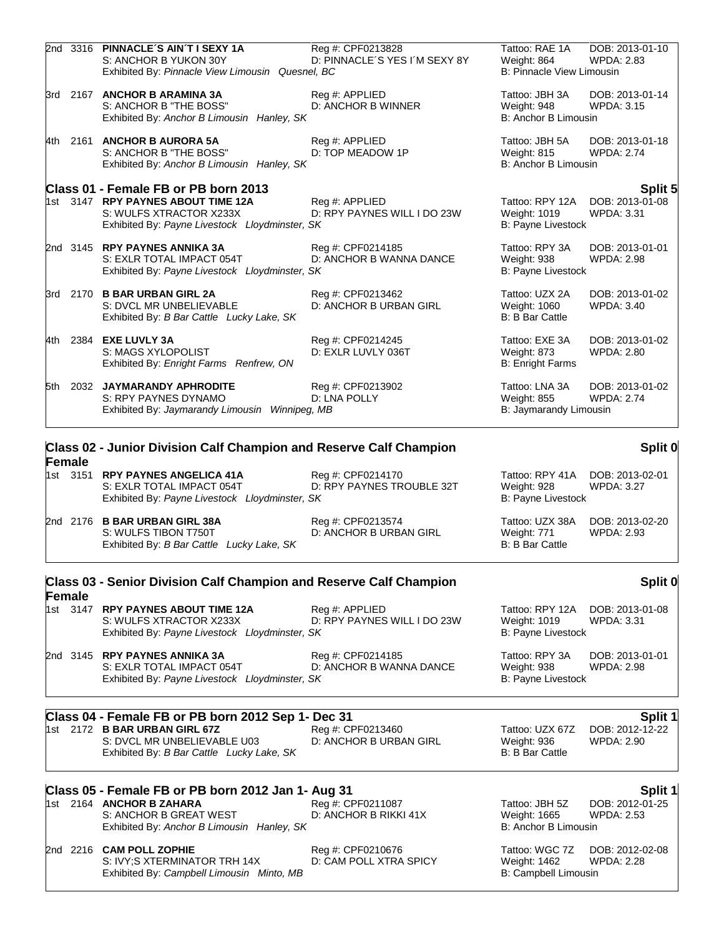|      |                    | 2nd 3316 PINNACLE'S AIN'T I SEXY 1A<br>S: ANCHOR B YUKON 30Y<br>Exhibited By: Pinnacle View Limousin Quesnel, BC | Reg #: CPF0213828<br>D: PINNACLE'S YES I'M SEXY 8Y | Tattoo: RAE 1A<br>Weight: 864<br><b>B: Pinnacle View Limousin</b> | DOB: 2013-01-10<br><b>WPDA: 2.83</b> |
|------|--------------------|------------------------------------------------------------------------------------------------------------------|----------------------------------------------------|-------------------------------------------------------------------|--------------------------------------|
|      |                    | 3rd 2167 ANCHOR B ARAMINA 3A<br>S: ANCHOR B "THE BOSS"<br>Exhibited By: Anchor B Limousin Hanley, SK             | Reg #: APPLIED<br>D: ANCHOR B WINNER               | Tattoo: JBH 3A<br>Weight: 948<br>B: Anchor B Limousin             | DOB: 2013-01-14<br><b>WPDA: 3.15</b> |
|      |                    | 4th 2161 ANCHOR B AURORA 5A<br>S: ANCHOR B "THE BOSS"<br>Exhibited By: Anchor B Limousin Hanley, SK              | Reg #: APPLIED<br>D: TOP MEADOW 1P                 | Tattoo: JBH 5A<br>Weight: 815<br>B: Anchor B Limousin             | DOB: 2013-01-18<br><b>WPDA: 2.74</b> |
|      |                    | Class 01 - Female FB or PB born 2013                                                                             |                                                    |                                                                   | Split 5                              |
|      |                    | 1st 3147 RPY PAYNES ABOUT TIME 12A<br>S: WULFS XTRACTOR X233X<br>Exhibited By: Payne Livestock Lloydminster, SK  | Reg #: APPLIED<br>D: RPY PAYNES WILL I DO 23W      | Tattoo: RPY 12A<br>Weight: 1019<br>B: Payne Livestock             | DOB: 2013-01-08<br><b>WPDA: 3.31</b> |
|      |                    | 2nd 3145 RPY PAYNES ANNIKA 3A<br>S: EXLR TOTAL IMPACT 054T<br>Exhibited By: Payne Livestock Lloydminster, SK     | Reg #: CPF0214185<br>D: ANCHOR B WANNA DANCE       | Tattoo: RPY 3A<br>Weight: 938<br><b>B: Payne Livestock</b>        | DOB: 2013-01-01<br><b>WPDA: 2.98</b> |
|      |                    | 3rd 2170 <b>B BAR URBAN GIRL 2A</b><br>S: DVCL MR UNBELIEVABLE<br>Exhibited By: B Bar Cattle Lucky Lake, SK      | Reg #: CPF0213462<br>D: ANCHOR B URBAN GIRL        | Tattoo: UZX 2A<br>Weight: 1060<br><b>B: B Bar Cattle</b>          | DOB: 2013-01-02<br>WPDA: 3.40        |
| 4th. |                    | 2384 <b>EXE LUVLY 3A</b><br>S: MAGS XYLOPOLIST<br>Exhibited By: Enright Farms Renfrew, ON                        | Reg #: CPF0214245<br>D: EXLR LUVLY 036T            | Tattoo: EXE 3A<br>Weight: 873<br><b>B: Enright Farms</b>          | DOB: 2013-01-02<br>WPDA: 2.80        |
| 5th. |                    | 2032 JAYMARANDY APHRODITE<br>S: RPY PAYNES DYNAMO<br>Exhibited By: Jaymarandy Limousin<br>Winnipeg, MB           | Reg #: CPF0213902<br>D: LNA POLLY                  | Tattoo: LNA 3A<br>Weight: 855<br>B: Jaymarandy Limousin           | DOB: 2013-01-02<br><b>WPDA: 2.74</b> |
|      |                    | Class 02 - Junior Division Calf Champion and Reserve Calf Champion                                               |                                                    |                                                                   | Split 0                              |
|      | Female<br>1st 3151 | <b>RPY PAYNES ANGELICA 41A</b><br>S: EXLR TOTAL IMPACT 054T<br>Exhibited By: Payne Livestock Lloydminster, SK    | Reg #: CPF0214170<br>D: RPY PAYNES TROUBLE 32T     | Tattoo: RPY 41A<br>Weight: 928<br><b>B: Payne Livestock</b>       | DOB: 2013-02-01<br><b>WPDA: 3.27</b> |
|      |                    | 2nd 2176 B BAR URBAN GIRL 38A<br>S: WULFS TIBON T750T<br>Exhibited By: B Bar Cattle Lucky Lake, SK               | Reg #: CPF0213574<br>D: ANCHOR B URBAN GIRL        | Tattoo: UZX 38A<br>Weight: 771<br><b>B: B Bar Cattle</b>          | DOB: 2013-02-20<br><b>WPDA: 2.93</b> |
|      |                    | Class 03 - Senior Division Calf Champion and Reserve Calf Champion                                               |                                                    |                                                                   | Split 0                              |
|      | Female<br>1st 3147 | <b>RPY PAYNES ABOUT TIME 12A</b><br>S: WULFS XTRACTOR X233X<br>Exhibited By: Payne Livestock Lloydminster, SK    | Reg #: APPLIED<br>D: RPY PAYNES WILL I DO 23W      | Tattoo: RPY 12A<br>Weight: 1019<br><b>B: Payne Livestock</b>      | DOB: 2013-01-08<br><b>WPDA: 3.31</b> |
|      |                    | 2nd 3145 RPY PAYNES ANNIKA 3A<br>S: EXLR TOTAL IMPACT 054T<br>Exhibited By: Payne Livestock Lloydminster, SK     | Reg #: CPF0214185<br>D: ANCHOR B WANNA DANCE       | Tattoo: RPY 3A<br>Weight: 938<br><b>B: Payne Livestock</b>        | DOB: 2013-01-01<br><b>WPDA: 2.98</b> |

# **Class 04 - Female FB or PB born 2012 Sep 1- Dec 31**<br>1st 2172 B BAR URBAN GIRL 67Z **Reg #: CPF0213460** Tattoo: UZX 67Z DOB: 2012-12-22

1st 2172 **B BAR URBAN GIRL 67Z Reg #: CPF0213460** Tattoo: UZX 67Z DOB: 2012-1<br>S: DVCL MR UNBELIEVABLE U03 D: ANCHOR B URBAN GIRL Weight: 936 WPDA: 2.90 S: DVCL MR UNBELIEVABLE U03 D: ANCHOR B URBAN GIRL Weight: 936<br>Exhibited By: *B Bar Cattle Lucky Lake, SK* B: B Bar Cattle Exhibited By: *B Bar Cattle Lucky Lake, SK* 

## **Class 05 - Female FB or PB born 2012 Jan 1- Aug 31 Split 1** 1st 2164 **ANCHOR B ZAHARA** Reg #: CPF0211087 Tattoo: JBH 5Z DOB: 2012-01-25

S: ANCHOR B GREAT WEST D: ANCHOR B RIKKI 41X Weight: 1665 WPDA: 2.53 Exhibited By: *Anchor B Limousin Hanley, SK* B: Anchor B Limousin B: Anchor B Limousin

2nd 2216 **CAM POLL ZOPHIE** Reg #: CPF0210676 Tattoo: WGC 7Z DOB: 2012-02-08 S: IVY;S XTERMINATOR TRH 14X D: CAM POLL XTRA SPICY Weight: 1462 WPDA: 2.28 Exhibited By: *Campbell Limousin Minto, MB* B: Campbell Limousin B: Campbell Limousin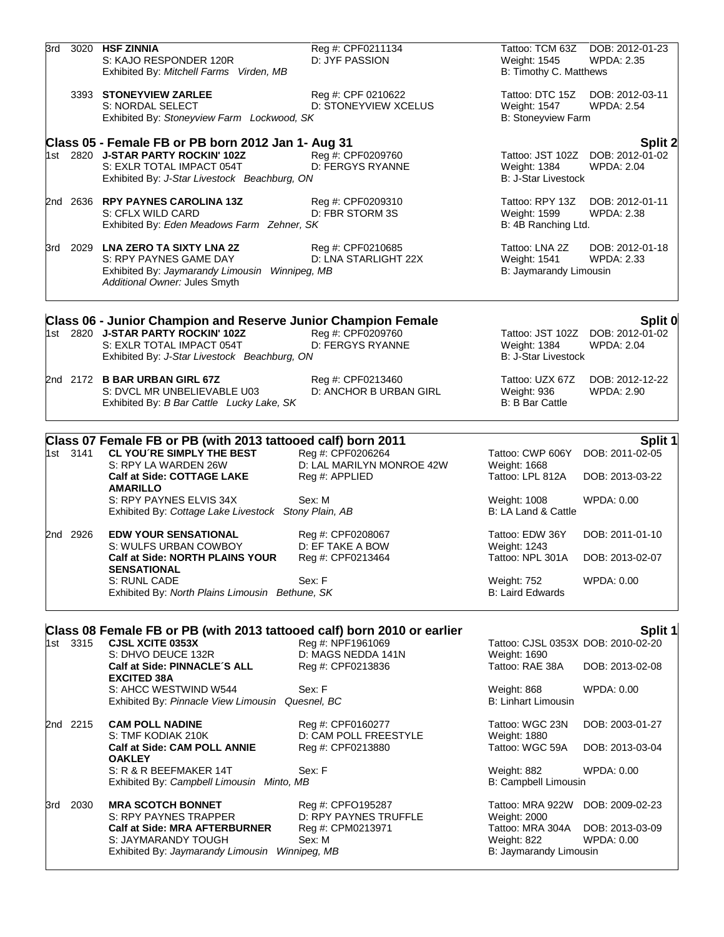| 3rd |          | 3020 HSF ZINNIA<br>S: KAJO RESPONDER 120R<br>Exhibited By: Mitchell Farms Virden, MB                                                           | Reg #: CPF0211134<br>D: JYF PASSION                        | Tattoo: TCM 63Z<br>Weight: 1545<br>B: Timothy C. Matthews                 | DOB: 2012-01-23<br><b>WPDA: 2.35</b> |
|-----|----------|------------------------------------------------------------------------------------------------------------------------------------------------|------------------------------------------------------------|---------------------------------------------------------------------------|--------------------------------------|
|     |          | 3393 STONEYVIEW ZARLEE<br>S: NORDAL SELECT<br>Exhibited By: Stoneyview Farm Lockwood, SK                                                       | Reg #: CPF 0210622<br>D: STONEYVIEW XCELUS                 | Tattoo: DTC 15Z<br>Weight: 1547<br>B: Stoneyview Farm                     | DOB: 2012-03-11<br><b>WPDA: 2.54</b> |
|     |          | Class 05 - Female FB or PB born 2012 Jan 1- Aug 31                                                                                             |                                                            |                                                                           | <b>Split 2</b>                       |
|     |          | 1st 2820 J-STAR PARTY ROCKIN' 102Z<br>S: EXLR TOTAL IMPACT 054T<br>Exhibited By: J-Star Livestock Beachburg, ON                                | Reg #: CPF0209760<br>D: FERGYS RYANNE                      | Tattoo: JST 102Z<br>Weight: 1384<br><b>B: J-Star Livestock</b>            | DOB: 2012-01-02<br><b>WPDA: 2.04</b> |
|     |          | 2nd 2636 RPY PAYNES CAROLINA 13Z<br>S: CFLX WILD CARD<br>Exhibited By: Eden Meadows Farm Zehner, SK                                            | Reg #: CPF0209310<br>D: FBR STORM 3S                       | Tattoo: RPY 13Z<br>Weight: 1599<br>B: 4B Ranching Ltd.                    | DOB: 2012-01-11<br>WPDA: 2.38        |
|     |          | 3rd 2029 LNA ZERO TA SIXTY LNA 2Z<br>S: RPY PAYNES GAME DAY<br>Exhibited By: Jaymarandy Limousin Winnipeg, MB<br>Additional Owner: Jules Smyth | Reg #: CPF0210685<br>D: LNA STARLIGHT 22X                  | Tattoo: LNA 2Z<br>Weight: 1541<br>B: Jaymarandy Limousin                  | DOB: 2012-01-18<br><b>WPDA: 2.33</b> |
|     |          | <b>Class 06 - Junior Champion and Reserve Junior Champion Female</b>                                                                           |                                                            |                                                                           | Split 0                              |
|     |          | 1st 2820 J-STAR PARTY ROCKIN' 102Z<br>S: EXLR TOTAL IMPACT 054T<br>Exhibited By: J-Star Livestock Beachburg, ON                                | Reg #: CPF0209760<br>D: FERGYS RYANNE                      | Tattoo: JST 102Z<br>Weight: 1384<br><b>B: J-Star Livestock</b>            | DOB: 2012-01-02<br><b>WPDA: 2.04</b> |
|     |          | 2nd 2172 B BAR URBAN GIRL 67Z<br>S: DVCL MR UNBELIEVABLE U03<br>Exhibited By: B Bar Cattle Lucky Lake, SK                                      | Reg #: CPF0213460<br>D: ANCHOR B URBAN GIRL                | Tattoo: UZX 67Z<br>Weight: 936<br><b>B: B Bar Cattle</b>                  | DOB: 2012-12-22<br><b>WPDA: 2.90</b> |
|     |          |                                                                                                                                                |                                                            |                                                                           |                                      |
|     | 1st 3141 | Class 07 Female FB or PB (with 2013 tattooed calf) born 2011<br>CL YOU'RE SIMPLY THE BEST                                                      | Reg #: CPF0206264                                          | Tattoo: CWP 606Y                                                          | Split 1<br>DOB: 2011-02-05           |
|     |          | S: RPY LA WARDEN 26W<br><b>Calf at Side: COTTAGE LAKE</b><br><b>AMARILLO</b>                                                                   | D: LAL MARILYN MONROE 42W<br>Reg #: APPLIED                | Weight: 1668<br>Tattoo: LPL 812A                                          | DOB: 2013-03-22                      |
|     |          | S: RPY PAYNES ELVIS 34X<br>Exhibited By: Cottage Lake Livestock Stony Plain, AB                                                                | Sex: M                                                     | Weight: 1008<br>B: LA Land & Cattle                                       | WPDA: 0.00                           |
|     | 2nd 2926 | <b>EDW YOUR SENSATIONAL</b><br>S: WULFS URBAN COWBOY<br><b>Calf at Side: NORTH PLAINS YOUR</b>                                                 | Reg #: CPF0208067<br>D: EF TAKE A BOW<br>Reg #: CPF0213464 | Tattoo: EDW 36Y<br>Weight: 1243<br>Tattoo: NPL 301A                       | DOB: 2011-01-10<br>DOB: 2013-02-07   |
|     |          | <b>SENSATIONAL</b><br>S: RUNL CADE                                                                                                             |                                                            |                                                                           |                                      |
|     |          | Exhibited By: North Plains Limousin Bethune, SK                                                                                                | Sex: F                                                     | Weight: 752<br><b>B: Laird Edwards</b>                                    | WPDA: 0.00                           |
|     |          |                                                                                                                                                |                                                            |                                                                           |                                      |
|     | 1st 3315 | Class 08 Female FB or PB (with 2013 tattooed calf) born 2010 or earlier<br><b>CJSL XCITE 0353X</b>                                             | Reg #: NPF1961069                                          | Tattoo: CJSL 0353X DOB: 2010-02-20                                        | Split 1                              |
|     |          | S: DHVO DEUCE 132R<br>Calf at Side: PINNACLE'S ALL<br><b>EXCITED 38A</b>                                                                       | D: MAGS NEDDA 141N<br>Reg #: CPF0213836                    | Weight: 1690<br>Tattoo: RAE 38A                                           | DOB: 2013-02-08                      |
|     |          | S: AHCC WESTWIND W544<br>Exhibited By: Pinnacle View Limousin Quesnel, BC                                                                      | Sex: F                                                     | Weight: 868<br><b>B: Linhart Limousin</b>                                 | WPDA: 0.00                           |
|     | 2nd 2215 | <b>CAM POLL NADINE</b><br>S: TMF KODIAK 210K                                                                                                   | Reg #: CPF0160277<br>D: CAM POLL FREESTYLE                 | Tattoo: WGC 23N<br><b>Weight: 1880</b>                                    | DOB: 2003-01-27                      |
|     |          | <b>Calf at Side: CAM POLL ANNIE</b><br><b>OAKLEY</b>                                                                                           | Reg #: CPF0213880                                          | Tattoo: WGC 59A                                                           | DOB: 2013-03-04                      |
|     |          | S: R & R BEEFMAKER 14T<br>Exhibited By: Campbell Limousin Minto, MB                                                                            | Sex: F                                                     | Weight: 882<br>B: Campbell Limousin                                       | WPDA: 0.00                           |
| 3rd | 2030     | <b>MRA SCOTCH BONNET</b>                                                                                                                       | Reg #: CPFO195287                                          | Tattoo: MRA 922W                                                          | DOB: 2009-02-23                      |
|     |          | S: RPY PAYNES TRAPPER<br><b>Calf at Side: MRA AFTERBURNER</b><br>S: JAYMARANDY TOUGH<br>Exhibited By: Jaymarandy Limousin Winnipeg, MB         | D: RPY PAYNES TRUFFLE<br>Reg #: CPM0213971<br>Sex: M       | Weight: 2000<br>Tattoo: MRA 304A<br>Weight: 822<br>B: Jaymarandy Limousin | DOB: 2013-03-09<br>WPDA: 0.00        |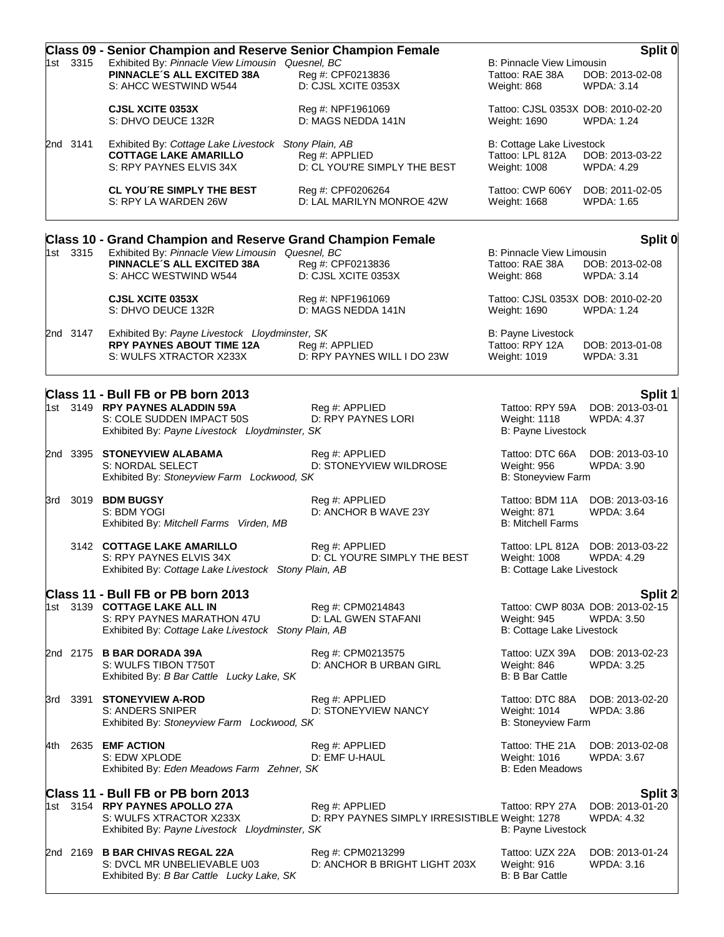| Exhibited By: Pinnacle View Limousin Quesnel, BC<br>1st 3315<br><b>B: Pinnacle View Limousin</b><br>PINNACLE'S ALL EXCITED 38A<br>Reg #: CPF0213836<br>Tattoo: RAE 38A<br>DOB: 2013-02-08<br>S: AHCC WESTWIND W544<br>D: CJSL XCITE 0353X<br>Weight: 868<br><b>WPDA: 3.14</b><br><b>CJSL XCITE 0353X</b><br>Tattoo: CJSL 0353X DOB: 2010-02-20<br>Reg #: NPF1961069<br>S: DHVO DEUCE 132R<br>D: MAGS NEDDA 141N<br>Weight: 1690<br><b>WPDA: 1.24</b><br>2nd 3141<br>Exhibited By: Cottage Lake Livestock Stony Plain, AB<br>B: Cottage Lake Livestock<br><b>COTTAGE LAKE AMARILLO</b><br>Tattoo: LPL 812A<br>Reg #: APPLIED<br>DOB: 2013-03-22<br>D: CL YOU'RE SIMPLY THE BEST<br>S: RPY PAYNES ELVIS 34X<br>Weight: 1008<br><b>WPDA: 4.29</b><br><b>CL YOU'RE SIMPLY THE BEST</b><br>Reg #: CPF0206264<br>Tattoo: CWP 606Y<br>DOB: 2011-02-05<br>D: LAL MARILYN MONROE 42W<br>S: RPY LA WARDEN 26W<br>Weight: 1668<br><b>WPDA: 1.65</b><br><b>Class 10 - Grand Champion and Reserve Grand Champion Female</b><br>Exhibited By: Pinnacle View Limousin Quesnel, BC<br>1st 3315<br>B: Pinnacle View Limousin<br>PINNACLE'S ALL EXCITED 38A<br>Reg #: CPF0213836<br>Tattoo: RAE 38A<br>DOB: 2013-02-08<br>D: CJSL XCITE 0353X<br>S: AHCC WESTWIND W544<br>Weight: 868<br><b>WPDA: 3.14</b><br><b>CJSL XCITE 0353X</b><br>Tattoo: CJSL 0353X DOB: 2010-02-20<br>Reg #: NPF1961069<br>D: MAGS NEDDA 141N<br>S: DHVO DEUCE 132R<br>Weight: 1690<br><b>WPDA: 1.24</b><br>Exhibited By: Payne Livestock Lloydminster, SK<br>B: Payne Livestock<br>2nd 3147<br><b>RPY PAYNES ABOUT TIME 12A</b><br>Reg #: APPLIED<br>Tattoo: RPY 12A<br>DOB: 2013-01-08<br>S: WULFS XTRACTOR X233X<br>D: RPY PAYNES WILL I DO 23W<br>Weight: 1019<br><b>WPDA: 3.31</b><br>Class 11 - Bull FB or PB born 2013<br>1st 3149 RPY PAYNES ALADDIN 59A<br>Reg #: APPLIED<br>Tattoo: RPY 59A<br>DOB: 2013-03-01<br>D: RPY PAYNES LORI<br>S: COLE SUDDEN IMPACT 50S<br>Weight: 1118<br><b>WPDA: 4.37</b><br>B: Payne Livestock<br>Exhibited By: Payne Livestock Lloydminster, SK<br>2nd 3395 STONEYVIEW ALABAMA<br>Tattoo: DTC 66A<br>Reg #: APPLIED<br>DOB: 2013-03-10<br>D: STONEYVIEW WILDROSE<br>S: NORDAL SELECT<br><b>Weight: 956</b><br>WPDA: 3.90<br>Exhibited By: Stoneyview Farm Lockwood, SK<br>B: Stoneyview Farm<br>3rd 3019 <b>BDM BUGSY</b><br>Tattoo: BDM 11A DOB: 2013-03-16<br>Reg #: APPLIED<br>D: ANCHOR B WAVE 23Y<br>Weight: 871<br>S: BDM YOGI<br><b>WPDA: 3.64</b><br><b>B: Mitchell Farms</b><br>Exhibited By: Mitchell Farms Virden, MB<br>3142 COTTAGE LAKE AMARILLO<br>Reg #: APPLIED<br>Tattoo: LPL 812A DOB: 2013-03-22<br>S: RPY PAYNES ELVIS 34X<br>D: CL YOU'RE SIMPLY THE BEST<br><b>Weight: 1008</b><br><b>WPDA: 4.29</b><br>Exhibited By: Cottage Lake Livestock Stony Plain, AB<br><b>B: Cottage Lake Livestock</b><br>Class 11 - Bull FB or PB born 2013<br>1st 3139 COTTAGE LAKE ALL IN<br>Reg #: CPM0214843<br>Tattoo: CWP 803A DOB: 2013-02-15<br>S: RPY PAYNES MARATHON 47U<br>D: LAL GWEN STAFANI<br>Weight: 945<br><b>WPDA: 3.50</b><br>B: Cottage Lake Livestock<br>Exhibited By: Cottage Lake Livestock Stony Plain, AB<br>2nd 2175 B BAR DORADA 39A<br>Reg #: CPM0213575<br>Tattoo: UZX 39A<br>DOB: 2013-02-23<br>S: WULFS TIBON T750T<br>D: ANCHOR B URBAN GIRL<br>Weight: 846<br><b>WPDA: 3.25</b><br><b>B: B Bar Cattle</b><br>Exhibited By: B Bar Cattle Lucky Lake, SK<br>3rd 3391 STONEYVIEW A-ROD<br>Reg #: APPLIED<br>Tattoo: DTC 88A<br>DOB: 2013-02-20<br>S: ANDERS SNIPER<br>D: STONEYVIEW NANCY<br>Weight: 1014<br>WPDA: 3.86<br>Exhibited By: Stoneyview Farm Lockwood, SK<br><b>B: Stoneyview Farm</b><br>2635 EMF ACTION<br>Reg #: APPLIED<br>Tattoo: THE 21A<br>DOB: 2013-02-08<br>S: EDW XPLODE<br>D: EMF U-HAUL<br>Weight: 1016<br><b>WPDA: 3.67</b><br>Exhibited By: Eden Meadows Farm Zehner, SK<br><b>B: Eden Meadows</b> |      | <b>Class 09 - Senior Champion and Reserve Senior Champion Female</b> |  | Split 0 |
|--------------------------------------------------------------------------------------------------------------------------------------------------------------------------------------------------------------------------------------------------------------------------------------------------------------------------------------------------------------------------------------------------------------------------------------------------------------------------------------------------------------------------------------------------------------------------------------------------------------------------------------------------------------------------------------------------------------------------------------------------------------------------------------------------------------------------------------------------------------------------------------------------------------------------------------------------------------------------------------------------------------------------------------------------------------------------------------------------------------------------------------------------------------------------------------------------------------------------------------------------------------------------------------------------------------------------------------------------------------------------------------------------------------------------------------------------------------------------------------------------------------------------------------------------------------------------------------------------------------------------------------------------------------------------------------------------------------------------------------------------------------------------------------------------------------------------------------------------------------------------------------------------------------------------------------------------------------------------------------------------------------------------------------------------------------------------------------------------------------------------------------------------------------------------------------------------------------------------------------------------------------------------------------------------------------------------------------------------------------------------------------------------------------------------------------------------------------------------------------------------------------------------------------------------------------------------------------------------------------------------------------------------------------------------------------------------------------------------------------------------------------------------------------------------------------------------------------------------------------------------------------------------------------------------------------------------------------------------------------------------------------------------------------------------------------------------------------------------------------------------------------------------------------------------------------------------------------------------------------------------------------------------------------------------------------------------------------------------------------------------------------------------------------------------------------------------------------------------------------------------------------------------------------------------------------------------------------------------------------------------------------------------------------------------------------------------------------------------------------------------------------------------------------------------------------------------------------------------------------|------|----------------------------------------------------------------------|--|---------|
| Split 0<br>Split 1<br><b>Split 2</b>                                                                                                                                                                                                                                                                                                                                                                                                                                                                                                                                                                                                                                                                                                                                                                                                                                                                                                                                                                                                                                                                                                                                                                                                                                                                                                                                                                                                                                                                                                                                                                                                                                                                                                                                                                                                                                                                                                                                                                                                                                                                                                                                                                                                                                                                                                                                                                                                                                                                                                                                                                                                                                                                                                                                                                                                                                                                                                                                                                                                                                                                                                                                                                                                                                                                                                                                                                                                                                                                                                                                                                                                                                                                                                                                                                                                                         |      |                                                                      |  |         |
|                                                                                                                                                                                                                                                                                                                                                                                                                                                                                                                                                                                                                                                                                                                                                                                                                                                                                                                                                                                                                                                                                                                                                                                                                                                                                                                                                                                                                                                                                                                                                                                                                                                                                                                                                                                                                                                                                                                                                                                                                                                                                                                                                                                                                                                                                                                                                                                                                                                                                                                                                                                                                                                                                                                                                                                                                                                                                                                                                                                                                                                                                                                                                                                                                                                                                                                                                                                                                                                                                                                                                                                                                                                                                                                                                                                                                                                              |      |                                                                      |  |         |
|                                                                                                                                                                                                                                                                                                                                                                                                                                                                                                                                                                                                                                                                                                                                                                                                                                                                                                                                                                                                                                                                                                                                                                                                                                                                                                                                                                                                                                                                                                                                                                                                                                                                                                                                                                                                                                                                                                                                                                                                                                                                                                                                                                                                                                                                                                                                                                                                                                                                                                                                                                                                                                                                                                                                                                                                                                                                                                                                                                                                                                                                                                                                                                                                                                                                                                                                                                                                                                                                                                                                                                                                                                                                                                                                                                                                                                                              |      |                                                                      |  |         |
|                                                                                                                                                                                                                                                                                                                                                                                                                                                                                                                                                                                                                                                                                                                                                                                                                                                                                                                                                                                                                                                                                                                                                                                                                                                                                                                                                                                                                                                                                                                                                                                                                                                                                                                                                                                                                                                                                                                                                                                                                                                                                                                                                                                                                                                                                                                                                                                                                                                                                                                                                                                                                                                                                                                                                                                                                                                                                                                                                                                                                                                                                                                                                                                                                                                                                                                                                                                                                                                                                                                                                                                                                                                                                                                                                                                                                                                              |      |                                                                      |  |         |
|                                                                                                                                                                                                                                                                                                                                                                                                                                                                                                                                                                                                                                                                                                                                                                                                                                                                                                                                                                                                                                                                                                                                                                                                                                                                                                                                                                                                                                                                                                                                                                                                                                                                                                                                                                                                                                                                                                                                                                                                                                                                                                                                                                                                                                                                                                                                                                                                                                                                                                                                                                                                                                                                                                                                                                                                                                                                                                                                                                                                                                                                                                                                                                                                                                                                                                                                                                                                                                                                                                                                                                                                                                                                                                                                                                                                                                                              |      |                                                                      |  |         |
|                                                                                                                                                                                                                                                                                                                                                                                                                                                                                                                                                                                                                                                                                                                                                                                                                                                                                                                                                                                                                                                                                                                                                                                                                                                                                                                                                                                                                                                                                                                                                                                                                                                                                                                                                                                                                                                                                                                                                                                                                                                                                                                                                                                                                                                                                                                                                                                                                                                                                                                                                                                                                                                                                                                                                                                                                                                                                                                                                                                                                                                                                                                                                                                                                                                                                                                                                                                                                                                                                                                                                                                                                                                                                                                                                                                                                                                              |      |                                                                      |  |         |
|                                                                                                                                                                                                                                                                                                                                                                                                                                                                                                                                                                                                                                                                                                                                                                                                                                                                                                                                                                                                                                                                                                                                                                                                                                                                                                                                                                                                                                                                                                                                                                                                                                                                                                                                                                                                                                                                                                                                                                                                                                                                                                                                                                                                                                                                                                                                                                                                                                                                                                                                                                                                                                                                                                                                                                                                                                                                                                                                                                                                                                                                                                                                                                                                                                                                                                                                                                                                                                                                                                                                                                                                                                                                                                                                                                                                                                                              |      |                                                                      |  |         |
|                                                                                                                                                                                                                                                                                                                                                                                                                                                                                                                                                                                                                                                                                                                                                                                                                                                                                                                                                                                                                                                                                                                                                                                                                                                                                                                                                                                                                                                                                                                                                                                                                                                                                                                                                                                                                                                                                                                                                                                                                                                                                                                                                                                                                                                                                                                                                                                                                                                                                                                                                                                                                                                                                                                                                                                                                                                                                                                                                                                                                                                                                                                                                                                                                                                                                                                                                                                                                                                                                                                                                                                                                                                                                                                                                                                                                                                              |      |                                                                      |  |         |
|                                                                                                                                                                                                                                                                                                                                                                                                                                                                                                                                                                                                                                                                                                                                                                                                                                                                                                                                                                                                                                                                                                                                                                                                                                                                                                                                                                                                                                                                                                                                                                                                                                                                                                                                                                                                                                                                                                                                                                                                                                                                                                                                                                                                                                                                                                                                                                                                                                                                                                                                                                                                                                                                                                                                                                                                                                                                                                                                                                                                                                                                                                                                                                                                                                                                                                                                                                                                                                                                                                                                                                                                                                                                                                                                                                                                                                                              |      |                                                                      |  |         |
|                                                                                                                                                                                                                                                                                                                                                                                                                                                                                                                                                                                                                                                                                                                                                                                                                                                                                                                                                                                                                                                                                                                                                                                                                                                                                                                                                                                                                                                                                                                                                                                                                                                                                                                                                                                                                                                                                                                                                                                                                                                                                                                                                                                                                                                                                                                                                                                                                                                                                                                                                                                                                                                                                                                                                                                                                                                                                                                                                                                                                                                                                                                                                                                                                                                                                                                                                                                                                                                                                                                                                                                                                                                                                                                                                                                                                                                              |      |                                                                      |  |         |
|                                                                                                                                                                                                                                                                                                                                                                                                                                                                                                                                                                                                                                                                                                                                                                                                                                                                                                                                                                                                                                                                                                                                                                                                                                                                                                                                                                                                                                                                                                                                                                                                                                                                                                                                                                                                                                                                                                                                                                                                                                                                                                                                                                                                                                                                                                                                                                                                                                                                                                                                                                                                                                                                                                                                                                                                                                                                                                                                                                                                                                                                                                                                                                                                                                                                                                                                                                                                                                                                                                                                                                                                                                                                                                                                                                                                                                                              |      |                                                                      |  |         |
|                                                                                                                                                                                                                                                                                                                                                                                                                                                                                                                                                                                                                                                                                                                                                                                                                                                                                                                                                                                                                                                                                                                                                                                                                                                                                                                                                                                                                                                                                                                                                                                                                                                                                                                                                                                                                                                                                                                                                                                                                                                                                                                                                                                                                                                                                                                                                                                                                                                                                                                                                                                                                                                                                                                                                                                                                                                                                                                                                                                                                                                                                                                                                                                                                                                                                                                                                                                                                                                                                                                                                                                                                                                                                                                                                                                                                                                              |      |                                                                      |  |         |
|                                                                                                                                                                                                                                                                                                                                                                                                                                                                                                                                                                                                                                                                                                                                                                                                                                                                                                                                                                                                                                                                                                                                                                                                                                                                                                                                                                                                                                                                                                                                                                                                                                                                                                                                                                                                                                                                                                                                                                                                                                                                                                                                                                                                                                                                                                                                                                                                                                                                                                                                                                                                                                                                                                                                                                                                                                                                                                                                                                                                                                                                                                                                                                                                                                                                                                                                                                                                                                                                                                                                                                                                                                                                                                                                                                                                                                                              |      |                                                                      |  |         |
|                                                                                                                                                                                                                                                                                                                                                                                                                                                                                                                                                                                                                                                                                                                                                                                                                                                                                                                                                                                                                                                                                                                                                                                                                                                                                                                                                                                                                                                                                                                                                                                                                                                                                                                                                                                                                                                                                                                                                                                                                                                                                                                                                                                                                                                                                                                                                                                                                                                                                                                                                                                                                                                                                                                                                                                                                                                                                                                                                                                                                                                                                                                                                                                                                                                                                                                                                                                                                                                                                                                                                                                                                                                                                                                                                                                                                                                              |      |                                                                      |  |         |
|                                                                                                                                                                                                                                                                                                                                                                                                                                                                                                                                                                                                                                                                                                                                                                                                                                                                                                                                                                                                                                                                                                                                                                                                                                                                                                                                                                                                                                                                                                                                                                                                                                                                                                                                                                                                                                                                                                                                                                                                                                                                                                                                                                                                                                                                                                                                                                                                                                                                                                                                                                                                                                                                                                                                                                                                                                                                                                                                                                                                                                                                                                                                                                                                                                                                                                                                                                                                                                                                                                                                                                                                                                                                                                                                                                                                                                                              |      |                                                                      |  |         |
|                                                                                                                                                                                                                                                                                                                                                                                                                                                                                                                                                                                                                                                                                                                                                                                                                                                                                                                                                                                                                                                                                                                                                                                                                                                                                                                                                                                                                                                                                                                                                                                                                                                                                                                                                                                                                                                                                                                                                                                                                                                                                                                                                                                                                                                                                                                                                                                                                                                                                                                                                                                                                                                                                                                                                                                                                                                                                                                                                                                                                                                                                                                                                                                                                                                                                                                                                                                                                                                                                                                                                                                                                                                                                                                                                                                                                                                              |      |                                                                      |  |         |
|                                                                                                                                                                                                                                                                                                                                                                                                                                                                                                                                                                                                                                                                                                                                                                                                                                                                                                                                                                                                                                                                                                                                                                                                                                                                                                                                                                                                                                                                                                                                                                                                                                                                                                                                                                                                                                                                                                                                                                                                                                                                                                                                                                                                                                                                                                                                                                                                                                                                                                                                                                                                                                                                                                                                                                                                                                                                                                                                                                                                                                                                                                                                                                                                                                                                                                                                                                                                                                                                                                                                                                                                                                                                                                                                                                                                                                                              |      |                                                                      |  |         |
|                                                                                                                                                                                                                                                                                                                                                                                                                                                                                                                                                                                                                                                                                                                                                                                                                                                                                                                                                                                                                                                                                                                                                                                                                                                                                                                                                                                                                                                                                                                                                                                                                                                                                                                                                                                                                                                                                                                                                                                                                                                                                                                                                                                                                                                                                                                                                                                                                                                                                                                                                                                                                                                                                                                                                                                                                                                                                                                                                                                                                                                                                                                                                                                                                                                                                                                                                                                                                                                                                                                                                                                                                                                                                                                                                                                                                                                              | 4th. |                                                                      |  |         |

|  | 1st 3154 RPY PAYNES APOLLO 27A<br>S: WULFS XTRACTOR X233X                                                   | Reg #: APPLIED<br>D: RPY PAYNES SIMPLY IRRESISTIBLE Weight: 1278 | Tattoo: RPY 27A DOB: 2013-01-20                   | WPDA: 4.32                    |
|--|-------------------------------------------------------------------------------------------------------------|------------------------------------------------------------------|---------------------------------------------------|-------------------------------|
|  | Exhibited By: Payne Livestock Lloydminster, SK                                                              |                                                                  | B: Payne Livestock                                |                               |
|  | 2nd 2169 B BAR CHIVAS REGAL 22A<br>S: DVCL MR UNBELIEVABLE U03<br>Exhibited By: B Bar Cattle Lucky Lake, SK | Reg #: CPM0213299<br>D: ANCHOR B BRIGHT LIGHT 203X               | Tattoo: UZX 22A<br>Weight: 916<br>B: B Bar Cattle | DOB: 2013-01-24<br>WPDA: 3.16 |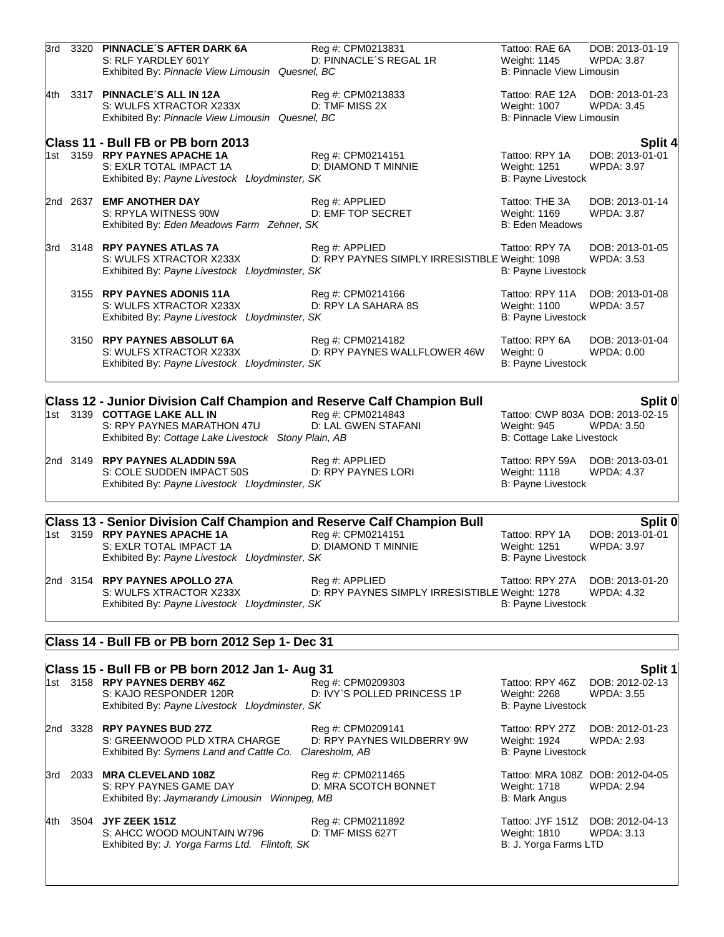| 3rd | 3320 PINNACLE'S AFTER DARK 6A<br>S: RLF YARDLEY 601Y<br>Exhibited By: Pinnacle View Limousin Quesnel, BC                                                                                             | Reg #: CPM0213831<br>D: PINNACLE'S REGAL 1R                       | Tattoo: RAE 6A<br>Weight: 1145<br>B: Pinnacle View Limousin                  | DOB: 2013-01-19<br><b>WPDA: 3.87</b>            |
|-----|------------------------------------------------------------------------------------------------------------------------------------------------------------------------------------------------------|-------------------------------------------------------------------|------------------------------------------------------------------------------|-------------------------------------------------|
|     | 4th 3317 PINNACLE'S ALL IN 12A<br>S: WULFS XTRACTOR X233X<br>Exhibited By: Pinnacle View Limousin Quesnel, BC                                                                                        | Reg #: CPM0213833<br>D: TMF MISS 2X                               | Tattoo: RAE 12A<br>Weight: 1007<br><b>B: Pinnacle View Limousin</b>          | DOB: 2013-01-23<br>WPDA: 3.45                   |
|     | Class 11 - Bull FB or PB born 2013                                                                                                                                                                   |                                                                   |                                                                              | <b>Split 4</b>                                  |
|     | 1st 3159 RPY PAYNES APACHE 1A<br>S: EXLR TOTAL IMPACT 1A<br>Exhibited By: Payne Livestock Lloydminster, SK                                                                                           | Reg #: CPM0214151<br>D: DIAMOND T MINNIE                          | Tattoo: RPY 1A<br>Weight: 1251<br>B: Payne Livestock                         | DOB: 2013-01-01<br><b>WPDA: 3.97</b>            |
|     | 2nd 2637 EMF ANOTHER DAY<br>S: RPYLA WITNESS 90W<br>Exhibited By: Eden Meadows Farm Zehner, SK                                                                                                       | Reg #: APPLIED<br>D: EMF TOP SECRET                               | Tattoo: THE 3A<br>Weight: 1169<br><b>B: Eden Meadows</b>                     | DOB: 2013-01-14<br><b>WPDA: 3.87</b>            |
|     | 3rd 3148 RPY PAYNES ATLAS 7A<br>S: WULFS XTRACTOR X233X<br>Exhibited By: Payne Livestock Lloydminster, SK                                                                                            | Reg #: APPLIED<br>D: RPY PAYNES SIMPLY IRRESISTIBLE Weight: 1098  | Tattoo: RPY 7A<br>B: Payne Livestock                                         | DOB: 2013-01-05<br><b>WPDA: 3.53</b>            |
|     | 3155 RPY PAYNES ADONIS 11A<br>S: WULFS XTRACTOR X233X<br>Exhibited By: Payne Livestock Lloydminster, SK                                                                                              | Reg #: CPM0214166<br>D: RPY LA SAHARA 8S                          | Tattoo: RPY 11A<br>Weight: 1100<br><b>B: Payne Livestock</b>                 | DOB: 2013-01-08<br><b>WPDA: 3.57</b>            |
|     | 3150 RPY PAYNES ABSOLUT 6A<br>S: WULFS XTRACTOR X233X<br>Exhibited By: Payne Livestock Lloydminster, SK                                                                                              | Reg #: CPM0214182<br>D: RPY PAYNES WALLFLOWER 46W                 | Tattoo: RPY 6A<br>Weight: 0<br>B: Payne Livestock                            | DOB: 2013-01-04<br>WPDA: 0.00                   |
|     |                                                                                                                                                                                                      |                                                                   |                                                                              |                                                 |
|     | <b>Class 12 - Junior Division Calf Champion and Reserve Calf Champion Bull</b><br>1st 3139 COTTAGE LAKE ALL IN<br>S: RPY PAYNES MARATHON 47U<br>Exhibited By: Cottage Lake Livestock Stony Plain, AB | Reg #: CPM0214843<br>D: LAL GWEN STAFANI                          | Tattoo: CWP 803A DOB: 2013-02-15<br>Weight: 945<br>B: Cottage Lake Livestock | Split 0<br><b>WPDA: 3.50</b>                    |
|     | 2nd 3149 RPY PAYNES ALADDIN 59A<br>S: COLE SUDDEN IMPACT 50S<br>Exhibited By: Payne Livestock Lloydminster, SK                                                                                       | Reg #: APPLIED<br>D: RPY PAYNES LORI                              | Tattoo: RPY 59A<br>Weight: 1118<br>B: Payne Livestock                        | DOB: 2013-03-01<br><b>WPDA: 4.37</b>            |
|     |                                                                                                                                                                                                      |                                                                   |                                                                              |                                                 |
|     | <b>Class 13 - Senior Division Calf Champion and Reserve Calf Champion Bull</b><br>1st 3159 RPY PAYNES APACHE 1A<br>S: EXLR TOTAL IMPACT 1A<br>Exhibited By: Payne Livestock Lloydminster, SK         | Reg #: CPM0214151<br>D: DIAMOND T MINNIE                          | Tattoo: RPY 1A<br>Weight: 1251<br>B: Payne Livestock                         | Split 0<br>DOB: 2013-01-01<br><b>WPDA: 3.97</b> |
|     | 2nd 3154 RPY PAYNES APOLLO 27A<br>S: WULFS XTRACTOR X233X<br>Exhibited By: Payne Livestock Lloydminster, SK                                                                                          | Reg #: APPLIED<br>D: RPY PAYNES SIMPLY IRRESISTIBLE Weight: 1278  | Tattoo: RPY 27A<br>B: Payne Livestock                                        | DOB: 2013-01-20<br>WPDA: 4.32                   |
|     | Class 14 - Bull FB or PB born 2012 Sep 1- Dec 31                                                                                                                                                     |                                                                   |                                                                              |                                                 |
|     |                                                                                                                                                                                                      |                                                                   |                                                                              |                                                 |
|     | Class 15 - Bull FB or PB born 2012 Jan 1- Aug 31<br>1st 3158 RPY PAYNES DERBY 46Z<br>S: KAJO RESPONDER 120R<br>Exhibited By: Payne Livestock Lloydminster, SK                                        | Reg #: CPM0209303<br>D: IVY'S POLLED PRINCESS 1P                  | Tattoo: RPY 46Z<br>Weight: 2268<br>B: Payne Livestock                        | Split 1<br>DOB: 2012-02-13<br><b>WPDA: 3.55</b> |
|     | 2nd 3328 RPY PAYNES BUD 27Z<br>S: GREENWOOD PLD XTRA CHARGE<br>Exhibited By: Symens Land and Cattle Co.                                                                                              | Reg #: CPM0209141<br>D: RPY PAYNES WILDBERRY 9W<br>Claresholm, AB | Tattoo: RPY 27Z<br>Weight: 1924<br><b>B: Payne Livestock</b>                 | DOB: 2012-01-23<br>WPDA: 2.93                   |
| 3rd | 2033 MRA CLEVELAND 108Z<br>S: RPY PAYNES GAME DAY<br>Exhibited By: Jaymarandy Limousin Winnipeg, MB                                                                                                  | Reg #: CPM0211465<br>D: MRA SCOTCH BONNET                         | Tattoo: MRA 108Z DOB: 2012-04-05<br>Weight: 1718<br>B: Mark Angus            | <b>WPDA: 2.94</b>                               |

4th 3504 **JYF ZEEK 151Z**<br>
S: AHCC WOOD MOUNTAIN W796 D: TMF MISS 627T Weight: 1810 WPDA: 3.13 S: AHCC WOOD MOUNTAIN W796 D: TMF MISS 627T Weight: 1810 WP<br>Exhibited By: J. Yorga Farms Ltd. Flintoft, SK B: J. Yorga Farms LTD Exhibited By: *J. Yorga Farms Ltd. Flintoft, SK*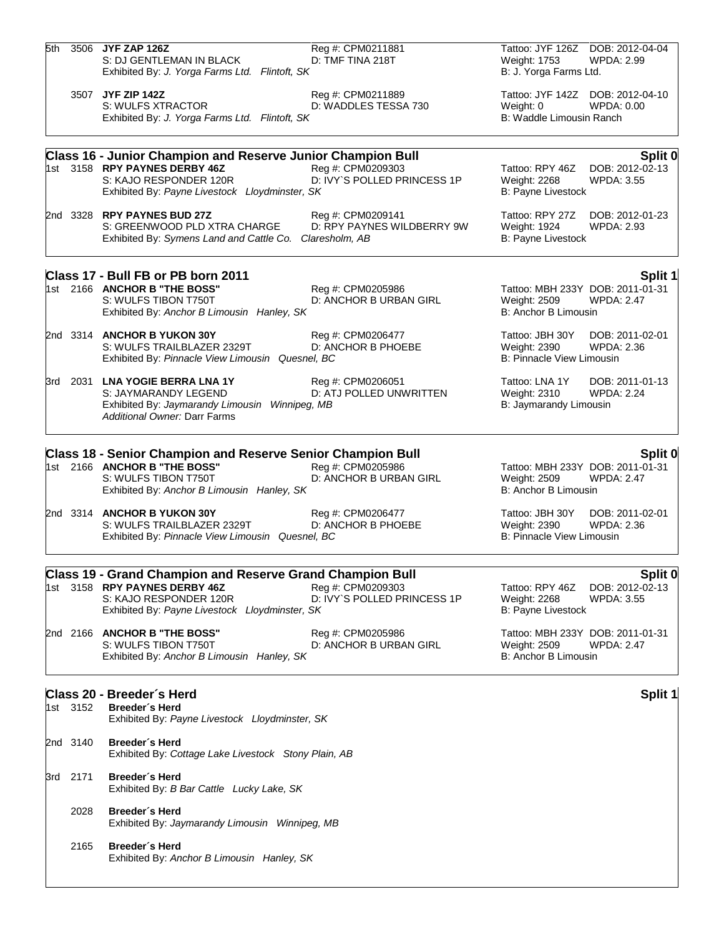| 5th |          | 3506 JYF ZAP 126Z<br>S: DJ GENTLEMAN IN BLACK<br>Exhibited By: J. Yorga Farms Ltd. Flintoft, SK                                                                                 | Reg #: CPM0211881<br>D: TMF TINA 218T                             | Tattoo: JYF 126Z DOB: 2012-04-04<br>Weight: 1753<br><b>WPDA: 2.99</b><br>B: J. Yorga Farms Ltd.             |
|-----|----------|---------------------------------------------------------------------------------------------------------------------------------------------------------------------------------|-------------------------------------------------------------------|-------------------------------------------------------------------------------------------------------------|
|     |          | 3507 JYF ZIP 142Z<br>S: WULFS XTRACTOR<br>Exhibited By: J. Yorga Farms Ltd. Flintoft, SK                                                                                        | Reg #: CPM0211889<br>D: WADDLES TESSA 730                         | Tattoo: JYF 142Z DOB: 2012-04-10<br>WPDA: 0.00<br>Weight: 0<br>B: Waddle Limousin Ranch                     |
|     |          |                                                                                                                                                                                 |                                                                   |                                                                                                             |
|     |          | <b>Class 16 - Junior Champion and Reserve Junior Champion Bull</b><br>1st 3158 RPY PAYNES DERBY 46Z<br>S: KAJO RESPONDER 120R<br>Exhibited By: Payne Livestock Lloydminster, SK | Reg #: CPM0209303<br>D: IVY`S POLLED PRINCESS 1P                  | Split 0<br>Tattoo: RPY 46Z<br>DOB: 2012-02-13<br>Weight: 2268<br><b>WPDA: 3.55</b><br>B: Payne Livestock    |
|     |          | 2nd 3328 RPY PAYNES BUD 27Z<br>S: GREENWOOD PLD XTRA CHARGE<br>Exhibited By: Symens Land and Cattle Co.                                                                         | Reg #: CPM0209141<br>D: RPY PAYNES WILDBERRY 9W<br>Claresholm, AB | Tattoo: RPY 27Z<br>DOB: 2012-01-23<br>Weight: 1924<br><b>WPDA: 2.93</b><br>B: Payne Livestock               |
|     |          | Class 17 - Bull FB or PB born 2011                                                                                                                                              |                                                                   | <b>Split 1</b>                                                                                              |
|     |          | 1st 2166 ANCHOR B "THE BOSS"<br>S: WULFS TIBON T750T<br>Exhibited By: Anchor B Limousin Hanley, SK                                                                              | Reg #: CPM0205986<br>D: ANCHOR B URBAN GIRL                       | Tattoo: MBH 233Y DOB: 2011-01-31<br>Weight: 2509<br><b>WPDA: 2.47</b><br>B: Anchor B Limousin               |
|     |          | 2nd 3314 ANCHOR B YUKON 30Y<br>S: WULFS TRAILBLAZER 2329T<br>Exhibited By: Pinnacle View Limousin Quesnel, BC                                                                   | Reg #: CPM0206477<br>D: ANCHOR B PHOEBE                           | Tattoo: JBH 30Y<br>DOB: 2011-02-01<br>Weight: 2390<br>WPDA: 2.36<br><b>B: Pinnacle View Limousin</b>        |
|     | 3rd 2031 | <b>LNA YOGIE BERRA LNA 1Y</b><br>S: JAYMARANDY LEGEND<br>Exhibited By: Jaymarandy Limousin Winnipeg, MB<br><b>Additional Owner: Darr Farms</b>                                  | Reg #: CPM0206051<br>D: ATJ POLLED UNWRITTEN                      | Tattoo: LNA 1Y<br>DOB: 2011-01-13<br>Weight: 2310<br><b>WPDA: 2.24</b><br>B: Jaymarandy Limousin            |
|     |          |                                                                                                                                                                                 |                                                                   |                                                                                                             |
|     |          | Class 18 - Senior Champion and Reserve Senior Champion Bull<br>1st 2166 ANCHOR B "THE BOSS"<br>S: WULFS TIBON T750T<br>Exhibited By: Anchor B Limousin Hanley, SK               | Reg #: CPM0205986<br>D: ANCHOR B URBAN GIRL                       | Split 0<br>Tattoo: MBH 233Y DOB: 2011-01-31<br>Weight: 2509<br><b>WPDA: 2.47</b><br>B: Anchor B Limousin    |
|     |          | 2nd 3314 ANCHOR B YUKON 30Y<br>S: WULFS TRAILBLAZER 2329T<br>Exhibited By: Pinnacle View Limousin Quesnel, BC                                                                   | Reg #: CPM0206477<br>D: ANCHOR B PHOEBE                           | Tattoo: JBH 30Y<br>DOB: 2011-02-01<br>Weight: 2390<br><b>WPDA: 2.36</b><br><b>B: Pinnacle View Limousin</b> |
|     |          |                                                                                                                                                                                 |                                                                   |                                                                                                             |
|     |          | Class 19 - Grand Champion and Reserve Grand Champion Bull<br>1st 3158 RPY PAYNES DERBY 46Z<br>S: KAJO RESPONDER 120R<br>Exhibited By: Payne Livestock Lloydminster, SK          | Reg #: CPM0209303<br>D: IVY`S POLLED PRINCESS 1P                  | Split 0<br>Tattoo: RPY 46Z<br>DOB: 2012-02-13<br>Weight: 2268<br><b>WPDA: 3.55</b><br>B: Payne Livestock    |
|     |          | 2nd 2166 ANCHOR B "THE BOSS"<br>S: WULFS TIBON T750T<br>Exhibited By: Anchor B Limousin Hanley, SK                                                                              | Reg #: CPM0205986<br>D: ANCHOR B URBAN GIRL                       | Tattoo: MBH 233Y DOB: 2011-01-31<br>Weight: 2509<br><b>WPDA: 2.47</b><br>B: Anchor B Limousin               |
|     |          | Class 20 - Breeder's Herd                                                                                                                                                       |                                                                   |                                                                                                             |
|     | 1st 3152 | Breeder's Herd<br>Exhibited By: Payne Livestock Lloydminster, SK                                                                                                                |                                                                   | Split 1                                                                                                     |
|     | 2nd 3140 | Breeder's Herd<br>Exhibited By: Cottage Lake Livestock Stony Plain, AB                                                                                                          |                                                                   |                                                                                                             |
|     | 3rd 2171 | Breeder's Herd<br>Exhibited By: B Bar Cattle Lucky Lake, SK                                                                                                                     |                                                                   |                                                                                                             |
|     | 2028     | Breeder's Herd<br>Exhibited By: Jaymarandy Limousin Winnipeg, MB                                                                                                                |                                                                   |                                                                                                             |
|     | 2165     | Breeder's Herd<br>Exhibited By: Anchor B Limousin Hanley, SK                                                                                                                    |                                                                   |                                                                                                             |